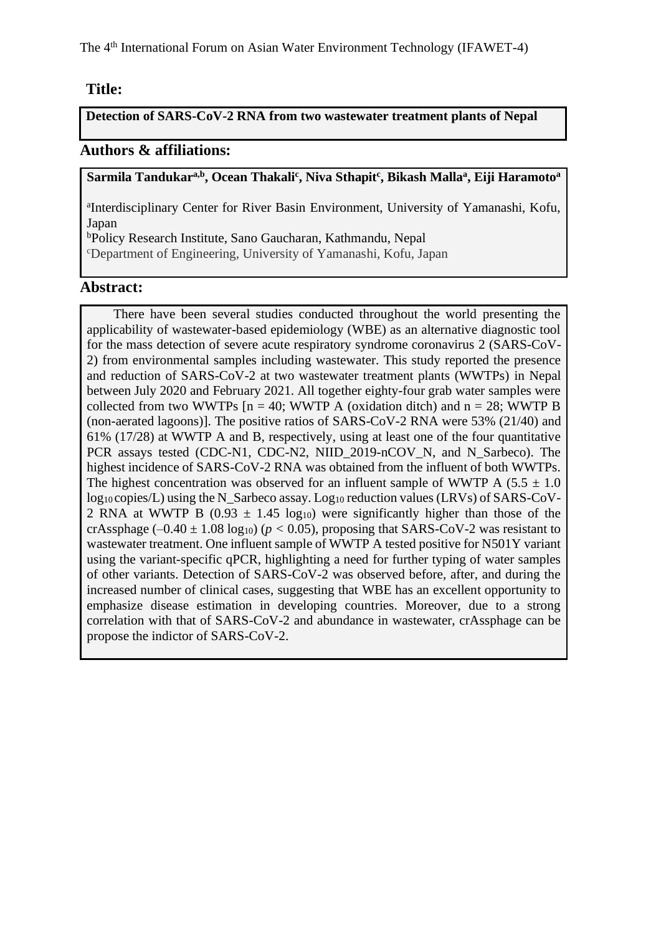The 4th International Forum on Asian Water Environment Technology (IFAWET-4)

## **Title:**

**Detection of SARS-CoV-2 RNA from two wastewater treatment plants of Nepal**

## **Authors & affiliations:**

**Sarmila Tandukara,b, Ocean Thakali<sup>c</sup> , Niva Sthapit<sup>c</sup> , Bikash Malla<sup>a</sup> , Eiji Haramoto<sup>a</sup>**

a Interdisciplinary Center for River Basin Environment, University of Yamanashi, Kofu, Japan

<sup>b</sup>Policy Research Institute, Sano Gaucharan, Kathmandu, Nepal

<sup>c</sup>Department of Engineering, University of Yamanashi, Kofu, Japan

## **Abstract:**

There have been several studies conducted throughout the world presenting the applicability of wastewater-based epidemiology (WBE) as an alternative diagnostic tool for the mass detection of severe acute respiratory syndrome coronavirus 2 (SARS-CoV-2) from environmental samples including wastewater. This study reported the presence and reduction of SARS-CoV-2 at two wastewater treatment plants (WWTPs) in Nepal between July 2020 and February 2021. All together eighty-four grab water samples were collected from two WWTPs  $[n = 40;$  WWTP A (oxidation ditch) and  $n = 28;$  WWTP B (non-aerated lagoons)]. The positive ratios of SARS-CoV-2 RNA were 53% (21/40) and 61% (17/28) at WWTP A and B, respectively, using at least one of the four quantitative PCR assays tested (CDC-N1, CDC-N2, NIID\_2019-nCOV\_N, and N\_Sarbeco). The highest incidence of SARS-CoV-2 RNA was obtained from the influent of both WWTPs. The highest concentration was observed for an influent sample of WWTP A (5.5  $\pm$  1.0) log<sub>10</sub> copies/L) using the N\_Sarbeco assay. Log<sub>10</sub> reduction values (LRVs) of SARS-CoV-2 RNA at WWTP B (0.93  $\pm$  1.45 log<sub>10</sub>) were significantly higher than those of the crAssphage  $(-0.40 \pm 1.08 \log_{10})$  ( $p < 0.05$ ), proposing that SARS-CoV-2 was resistant to wastewater treatment. One influent sample of WWTP A tested positive for N501Y variant using the variant-specific qPCR, highlighting a need for further typing of water samples of other variants. Detection of SARS-CoV-2 was observed before, after, and during the increased number of clinical cases, suggesting that WBE has an excellent opportunity to emphasize disease estimation in developing countries. Moreover, due to a strong correlation with that of SARS-CoV-2 and abundance in wastewater, crAssphage can be propose the indictor of SARS-CoV-2.